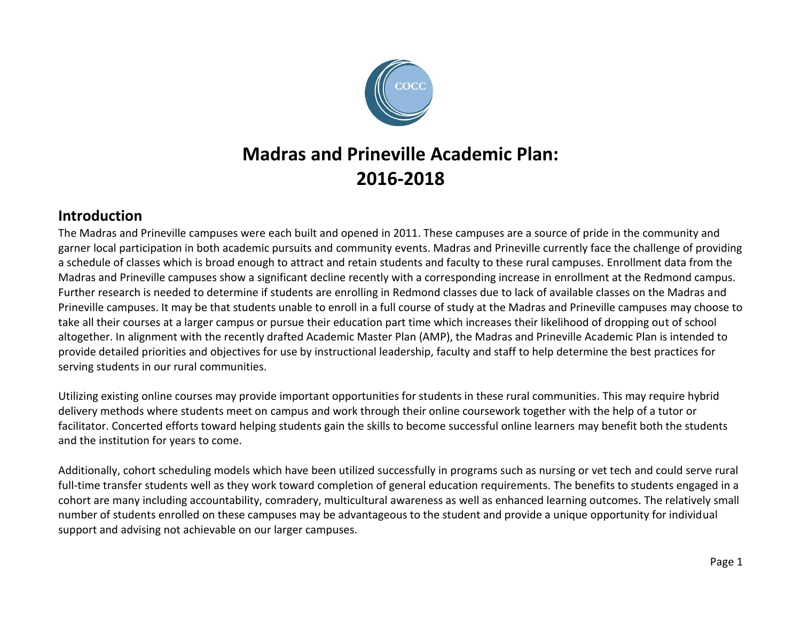

# **Madras and Prineville Academic Plan: 2016-2018**

## **Introduction**

The Madras and Prineville campuses were each built and opened in 2011. These campuses are a source of pride in the community and garner local participation in both academic pursuits and community events. Madras and Prineville currently face the challenge of providing a schedule of classes which is broad enough to attract and retain students and faculty to these rural campuses. Enrollment data from the Madras and Prineville campuses show a significant decline recently with a corresponding increase in enrollment at the Redmond campus. Further research is needed to determine if students are enrolling in Redmond classes due to lack of available classes on the Madras and Prineville campuses. It may be that students unable to enroll in a full course of study at the Madras and Prineville campuses may choose to take all their courses at a larger campus or pursue their education part time which increases their likelihood of dropping out of school altogether. In alignment with the recently drafted Academic Master Plan (AMP), the Madras and Prineville Academic Plan is intended to provide detailed priorities and objectives for use by instructional leadership, faculty and staff to help determine the best practices for serving students in our rural communities.

Utilizing existing online courses may provide important opportunities for students in these rural communities. This may require hybrid delivery methods where students meet on campus and work through their online coursework together with the help of a tutor or facilitator. Concerted efforts toward helping students gain the skills to become successful online learners may benefit both the students and the institution for years to come.

Additionally, cohort scheduling models which have been utilized successfully in programs such as nursing or vet tech and could serve rural full-time transfer students well as they work toward completion of general education requirements. The benefits to students engaged in a cohort are many including accountability, comradery, multicultural awareness as well as enhanced learning outcomes. The relatively small number of students enrolled on these campuses may be advantageous to the student and provide a unique opportunity for individual support and advising not achievable on our larger campuses.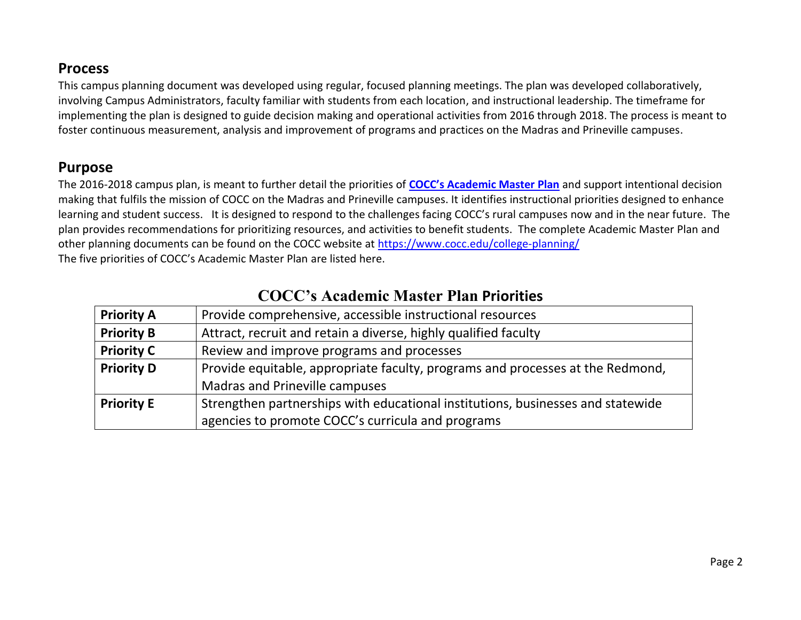### **Process**

This campus planning document was developed using regular, focused planning meetings. The plan was developed collaboratively, involving Campus Administrators, faculty familiar with students from each location, and instructional leadership. The timeframe for implementing the plan is designed to guide decision making and operational activities from 2016 through 2018. The process is meant to foster continuous measurement, analysis and improvement of programs and practices on the Madras and Prineville campuses.

## **Purpose**

The 2016-2018 campus plan, is meant to further detail the priorities of **COCC's [Academic Master Plan](https://www.cocc.edu/college-planning/academic-master-plan/)** and support intentional decision making that fulfils the mission of COCC on the Madras and Prineville campuses. It identifies instructional priorities designed to enhance learning and student success. It is designed to respond to the challenges facing COCC's rural campuses now and in the near future. The plan provides recommendations for prioritizing resources, and activities to benefit students. The complete Academic Master Plan and other planning documents can be found on the COCC website at<https://www.cocc.edu/college-planning/> The five priorities of COCC's Academic Master Plan are listed here.

| <b>Priority A</b> | Provide comprehensive, accessible instructional resources                       |
|-------------------|---------------------------------------------------------------------------------|
| <b>Priority B</b> | Attract, recruit and retain a diverse, highly qualified faculty                 |
| <b>Priority C</b> | Review and improve programs and processes                                       |
| <b>Priority D</b> | Provide equitable, appropriate faculty, programs and processes at the Redmond,  |
|                   | Madras and Prineville campuses                                                  |
| <b>Priority E</b> | Strengthen partnerships with educational institutions, businesses and statewide |
|                   | agencies to promote COCC's curricula and programs                               |

# **[COCC's Academic Master Plan](https://www.cocc.edu/college-planning/academic-master-plan/) Priorities**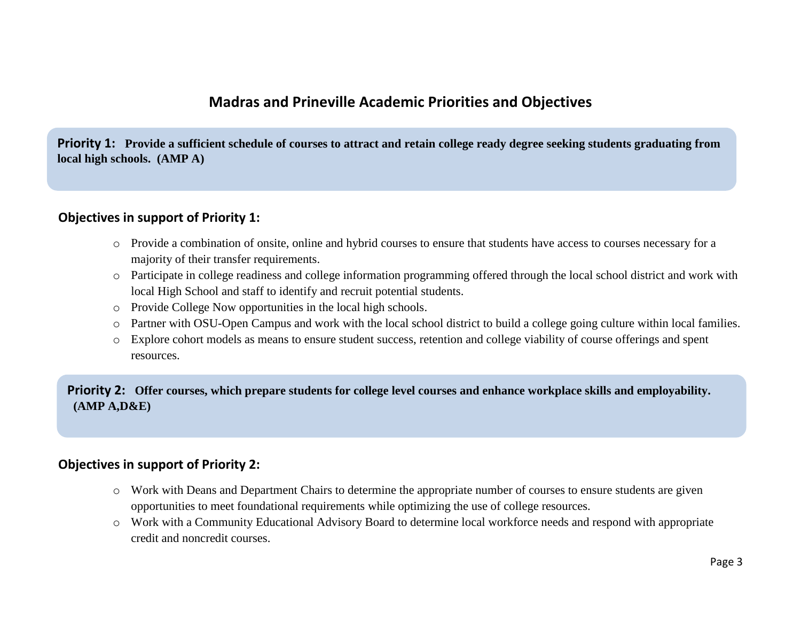## **Madras and Prineville Academic Priorities and Objectives**

**Priority 1: Provide a sufficient schedule of courses to attract and retain college ready degree seeking students graduating from local high schools. (AMP A)**

#### **Objectives in support of Priority 1:**

- o Provide a combination of onsite, online and hybrid courses to ensure that students have access to courses necessary for a majority of their transfer requirements.
- o Participate in college readiness and college information programming offered through the local school district and work with local High School and staff to identify and recruit potential students.
- o Provide College Now opportunities in the local high schools.
- o Partner with OSU-Open Campus and work with the local school district to build a college going culture within local families.
- o Explore cohort models as means to ensure student success, retention and college viability of course offerings and spent resources.

**Priority 2: Offer courses, which prepare students for college level courses and enhance workplace skills and employability. (AMP A,D&E)**

#### **Objectives in support of Priority 2:**

- o Work with Deans and Department Chairs to determine the appropriate number of courses to ensure students are given opportunities to meet foundational requirements while optimizing the use of college resources.
- o Work with a Community Educational Advisory Board to determine local workforce needs and respond with appropriate credit and noncredit courses.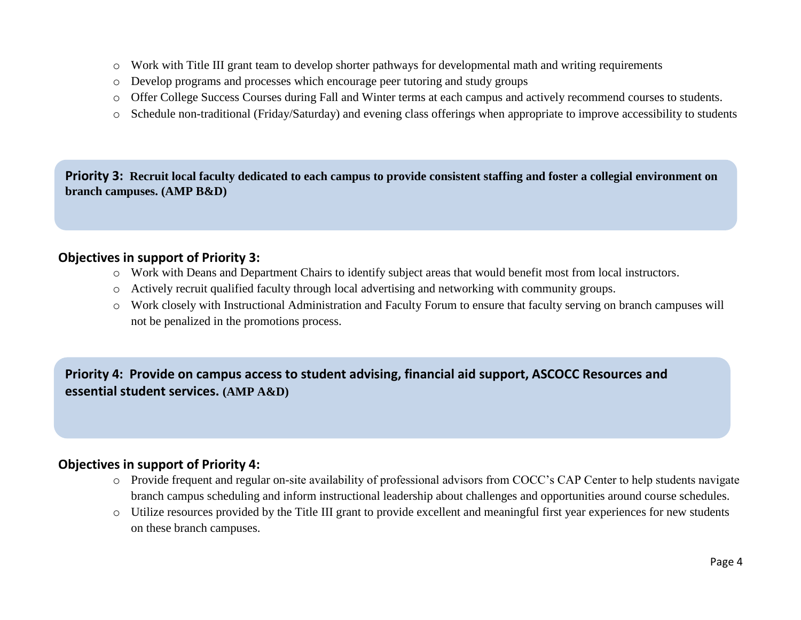- o Work with Title III grant team to develop shorter pathways for developmental math and writing requirements
- o Develop programs and processes which encourage peer tutoring and study groups
- o Offer College Success Courses during Fall and Winter terms at each campus and actively recommend courses to students.
- o Schedule non-traditional (Friday/Saturday) and evening class offerings when appropriate to improve accessibility to students

**Priority 3: Recruit local faculty dedicated to each campus to provide consistent staffing and foster a collegial environment on branch campuses. (AMP B&D)**

#### **Objectives in support of Priority 3:**

- o Work with Deans and Department Chairs to identify subject areas that would benefit most from local instructors.
- o Actively recruit qualified faculty through local advertising and networking with community groups.
- o Work closely with Instructional Administration and Faculty Forum to ensure that faculty serving on branch campuses will not be penalized in the promotions process.

**Priority 4: Provide on campus access to student advising, financial aid support, ASCOCC Resources and essential student services. (AMP A&D)**

#### **Objectives in support of Priority 4:**

- o Provide frequent and regular on-site availability of professional advisors from COCC's CAP Center to help students navigate branch campus scheduling and inform instructional leadership about challenges and opportunities around course schedules.
- o Utilize resources provided by the Title III grant to provide excellent and meaningful first year experiences for new students on these branch campuses.